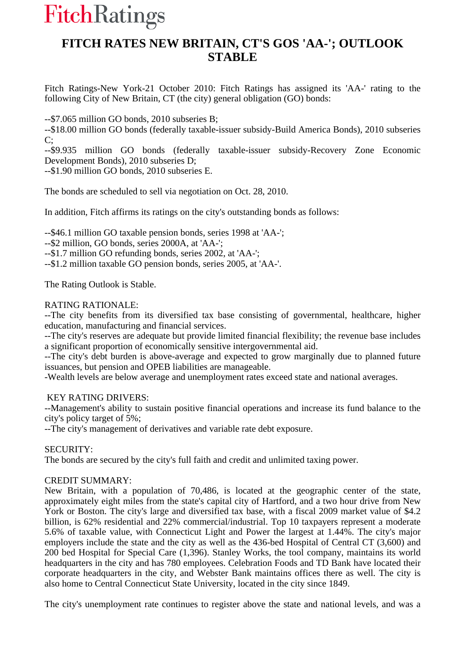# **FitchRatings**

# **FITCH RATES NEW BRITAIN, CT'S GOS 'AA-'; OUTLOOK STABLE**

Fitch Ratings-New York-21 October 2010: Fitch Ratings has assigned its 'AA-' rating to the following City of New Britain, CT (the city) general obligation (GO) bonds:

--\$7.065 million GO bonds, 2010 subseries B;

--\$18.00 million GO bonds (federally taxable-issuer subsidy-Build America Bonds), 2010 subseries  $C$ :

--\$9.935 million GO bonds (federally taxable-issuer subsidy-Recovery Zone Economic Development Bonds), 2010 subseries D;

--\$1.90 million GO bonds, 2010 subseries E.

The bonds are scheduled to sell via negotiation on Oct. 28, 2010.

In addition, Fitch affirms its ratings on the city's outstanding bonds as follows:

--\$46.1 million GO taxable pension bonds, series 1998 at 'AA-';

--\$2 million, GO bonds, series 2000A, at 'AA-';

--\$1.7 million GO refunding bonds, series 2002, at 'AA-';

--\$1.2 million taxable GO pension bonds, series 2005, at 'AA-'.

The Rating Outlook is Stable.

## RATING RATIONALE:

--The city benefits from its diversified tax base consisting of governmental, healthcare, higher education, manufacturing and financial services.

--The city's reserves are adequate but provide limited financial flexibility; the revenue base includes a significant proportion of economically sensitive intergovernmental aid.

--The city's debt burden is above-average and expected to grow marginally due to planned future issuances, but pension and OPEB liabilities are manageable.

-Wealth levels are below average and unemployment rates exceed state and national averages.

# KEY RATING DRIVERS:

--Management's ability to sustain positive financial operations and increase its fund balance to the city's policy target of 5%;

--The city's management of derivatives and variable rate debt exposure.

### SECURITY:

The bonds are secured by the city's full faith and credit and unlimited taxing power.

### CREDIT SUMMARY:

New Britain, with a population of 70,486, is located at the geographic center of the state, approximately eight miles from the state's capital city of Hartford, and a two hour drive from New York or Boston. The city's large and diversified tax base, with a fiscal 2009 market value of \$4.2 billion, is 62% residential and 22% commercial/industrial. Top 10 taxpayers represent a moderate 5.6% of taxable value, with Connecticut Light and Power the largest at 1.44%. The city's major employers include the state and the city as well as the 436-bed Hospital of Central CT (3,600) and 200 bed Hospital for Special Care (1,396). Stanley Works, the tool company, maintains its world headquarters in the city and has 780 employees. Celebration Foods and TD Bank have located their corporate headquarters in the city, and Webster Bank maintains offices there as well. The city is also home to Central Connecticut State University, located in the city since 1849.

The city's unemployment rate continues to register above the state and national levels, and was a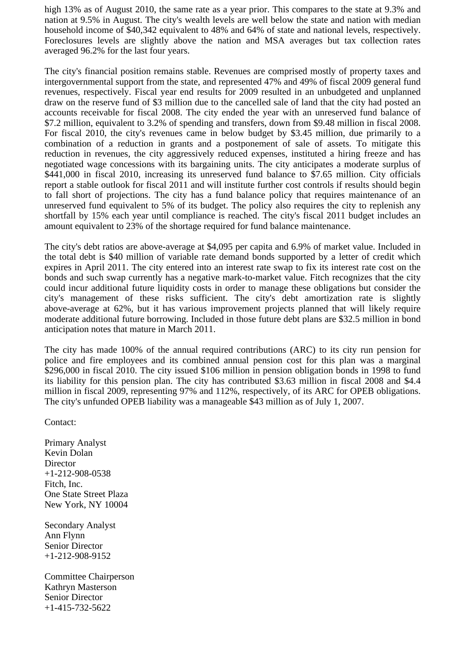high 13% as of August 2010, the same rate as a year prior. This compares to the state at 9.3% and nation at 9.5% in August. The city's wealth levels are well below the state and nation with median household income of \$40,342 equivalent to 48% and 64% of state and national levels, respectively. Foreclosures levels are slightly above the nation and MSA averages but tax collection rates averaged 96.2% for the last four years.

The city's financial position remains stable. Revenues are comprised mostly of property taxes and intergovernmental support from the state, and represented 47% and 49% of fiscal 2009 general fund revenues, respectively. Fiscal year end results for 2009 resulted in an unbudgeted and unplanned draw on the reserve fund of \$3 million due to the cancelled sale of land that the city had posted an accounts receivable for fiscal 2008. The city ended the year with an unreserved fund balance of \$7.2 million, equivalent to 3.2% of spending and transfers, down from \$9.48 million in fiscal 2008. For fiscal 2010, the city's revenues came in below budget by \$3.45 million, due primarily to a combination of a reduction in grants and a postponement of sale of assets. To mitigate this reduction in revenues, the city aggressively reduced expenses, instituted a hiring freeze and has negotiated wage concessions with its bargaining units. The city anticipates a moderate surplus of \$441,000 in fiscal 2010, increasing its unreserved fund balance to \$7.65 million. City officials report a stable outlook for fiscal 2011 and will institute further cost controls if results should begin to fall short of projections. The city has a fund balance policy that requires maintenance of an unreserved fund equivalent to 5% of its budget. The policy also requires the city to replenish any shortfall by 15% each year until compliance is reached. The city's fiscal 2011 budget includes an amount equivalent to 23% of the shortage required for fund balance maintenance.

The city's debt ratios are above-average at \$4,095 per capita and 6.9% of market value. Included in the total debt is \$40 million of variable rate demand bonds supported by a letter of credit which expires in April 2011. The city entered into an interest rate swap to fix its interest rate cost on the bonds and such swap currently has a negative mark-to-market value. Fitch recognizes that the city could incur additional future liquidity costs in order to manage these obligations but consider the city's management of these risks sufficient. The city's debt amortization rate is slightly above-average at 62%, but it has various improvement projects planned that will likely require moderate additional future borrowing. Included in those future debt plans are \$32.5 million in bond anticipation notes that mature in March 2011.

The city has made 100% of the annual required contributions (ARC) to its city run pension for police and fire employees and its combined annual pension cost for this plan was a marginal \$296,000 in fiscal 2010. The city issued \$106 million in pension obligation bonds in 1998 to fund its liability for this pension plan. The city has contributed \$3.63 million in fiscal 2008 and \$4.4 million in fiscal 2009, representing 97% and 112%, respectively, of its ARC for OPEB obligations. The city's unfunded OPEB liability was a manageable \$43 million as of July 1, 2007.

Contact:

Primary Analyst Kevin Dolan Director +1-212-908-0538 Fitch, Inc. One State Street Plaza New York, NY 10004

Secondary Analyst Ann Flynn Senior Director +1-212-908-9152

Committee Chairperson Kathryn Masterson Senior Director +1-415-732-5622